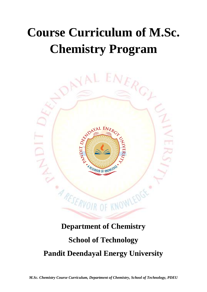## **Course Curriculum of M.Sc. Chemistry Program**



## **Department of Chemistry School of Technology Pandit Deendayal Energy University**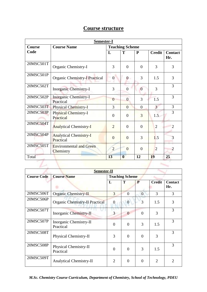| <b>Semester-I</b> |                                             |                        |                |                |                |                       |
|-------------------|---------------------------------------------|------------------------|----------------|----------------|----------------|-----------------------|
| <b>Course</b>     | <b>Course Name</b>                          | <b>Teaching Scheme</b> |                |                |                |                       |
| Code              |                                             | L                      | T              | P              | <b>Credit</b>  | <b>Contact</b><br>Hr. |
| 20MSC501T         | Organic Chemistry-I                         | 3                      | $\Omega$       | $\Omega$       | 3              | 3                     |
| 20MSC501P         | <b>Organic Chemistry-I Practical</b>        | $\boldsymbol{0}$       | $\overline{0}$ | 3              | 1.5            | 3                     |
| 20MSC502T         | <b>Inorganic Chemistry-I</b>                | 3                      | $\theta$       | $\overline{0}$ | 3              | 3                     |
| 20MSC502P         | Inorganic Chemistry-I<br>Practical          | $\overline{0}$         | $\overline{0}$ | 3              | 1.5            | 3                     |
| 20MSC503T         | <b>Physical Chemistry-I</b>                 | 3                      | $\overline{0}$ | $\overline{0}$ | $\overline{3}$ | 3                     |
| 20MSC503P         | <b>Physical Chemistry-I</b><br>Practical    | $\Omega$               | $\overline{0}$ | 3              | 1.5            | 3                     |
| 20MSC504T         | <b>Analytical Chemistry-I</b>               | $\overline{2}$         | $\theta$       | $\Omega$       | $\overline{2}$ | $\overline{2}$        |
| 20MSC504P         | <b>Analytical Chemistry-I</b><br>Practical  | $\Omega$               | $\theta$       | 3              | 1.5            | 3                     |
| 20MSC505T         | <b>Environmental and Green</b><br>Chemistry | $\overline{2}$         | $\overline{0}$ | $\overline{0}$ | $\overline{2}$ | $\overline{2}$        |
| Total             |                                             | 13                     | $\mathbf{0}$   | 12             | 19             | 25                    |

| Semester-II        |                                                                                  |                        |          |                |                |                       |
|--------------------|----------------------------------------------------------------------------------|------------------------|----------|----------------|----------------|-----------------------|
| <b>Course Code</b> | <b>Course Name</b>                                                               | <b>Teaching Scheme</b> |          |                |                |                       |
|                    |                                                                                  | L                      | T        | P              | <b>Credit</b>  | <b>Contact</b><br>Hr. |
| 20MSC506T          | <b>Organic Chemistry-II</b>                                                      | 3                      | $\Omega$ | $\overline{0}$ | 3              | 3                     |
| 20MSC506P          | <b>Organic Chemistry-II Practical</b><br>3<br>$\overline{0}$<br>$\boldsymbol{0}$ |                        | 1.5      | 3              |                |                       |
| 20MSC507T          | <b>Inorganic Chemistry-II</b>                                                    | 3                      | $\theta$ | $\Omega$       | 3              | 3                     |
| 20MSC507P          | Inorganic Chemistry-II<br>Practical                                              | $\overline{0}$         | 0        | 3              | 1.5            | 3                     |
| 20MSC508T          | Physical Chemistry-II                                                            | 3                      | 0        | $\theta$       | 3              | 3                     |
| 20MSC508P          | Physical Chemistry-II<br>Practical                                               | $\Omega$               | $\theta$ | 3              | 1.5            | 3                     |
| 20MSC509T          | <b>Analytical Chemistry-II</b>                                                   | $\overline{2}$         | 0        | $\Omega$       | $\overline{2}$ | 2                     |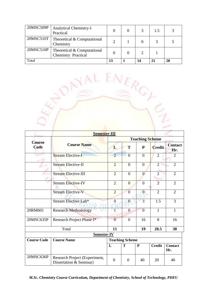| 20MSC509P | <b>Analytical Chemistry-I</b><br>Practical                |    |    | 1.5 |    |
|-----------|-----------------------------------------------------------|----|----|-----|----|
| 20MSC510T | Theoretical & Computational<br>Chemistry                  |    |    |     |    |
| 20MSC510P | Theoretical & Computational<br><b>Chemistry Practical</b> |    |    |     |    |
| Total     |                                                           | 13 | 14 | 21  | 28 |



| Semester-III              |                                                          |                        |                |                  |                |                       |  |
|---------------------------|----------------------------------------------------------|------------------------|----------------|------------------|----------------|-----------------------|--|
|                           |                                                          | <b>Teaching Scheme</b> |                |                  |                |                       |  |
| <b>Course</b><br>Code     | <b>Course Name</b>                                       | L                      | T              | $\mathbf{P}$     | <b>Credit</b>  | <b>Contact</b><br>Hr. |  |
|                           | <b>Stream Elective-I</b>                                 | $\overline{2}$         | $\overline{0}$ | $\boldsymbol{0}$ | $\overline{2}$ | $\overline{2}$        |  |
| <b>Stream Elective-II</b> |                                                          | $\overline{2}$         | $\theta$       | $\overline{0}$   | $\overline{2}$ | $\overline{2}$        |  |
|                           | <b>Stream Elective-III</b>                               |                        | $\overline{0}$ | $\overline{0}$   | $\overline{2}$ | $\overline{2}$        |  |
| <b>Stream Elective-IV</b> |                                                          | $\overline{2}$         | $\theta$       | $\theta$         | $\overline{2}$ | $\overline{2}$        |  |
|                           | <b>Stream Elective-V</b>                                 | $\overline{2}$         | $\overline{0}$ | $\overline{0}$   | $\overline{2}$ | $\overline{2}$        |  |
|                           | Stream Elective Lab*                                     | $\overline{0}$         | $\overline{0}$ | 3                | 1.5            | 3                     |  |
| 20RM601                   | <b>Research Methodology</b>                              | $\mathbf{1}$           | $\overline{0}$ | $\overline{0}$   | $\mathbf{1}$   | $\mathbf{1}$          |  |
| 20MSC635P                 | Research Project Phase I*                                | $\overline{0}$         | $\theta$       | 16               | 8              | 16                    |  |
| Total                     |                                                          | 11                     |                | 19               | 20.5           | 30                    |  |
|                           | Semester-IV                                              |                        |                |                  |                |                       |  |
| <b>Course Code</b>        | <b>Course Name</b><br><b>Teaching Scheme</b>             |                        |                |                  |                |                       |  |
|                           |                                                          | L                      | T              | $\mathbf{P}$     | <b>Credit</b>  | <b>Contact</b><br>Hr. |  |
| 20MSC636P                 | Research Project (Experiment,<br>Dissertation & Seminar) | $\overline{0}$         | $\overline{0}$ | 40               | 20             | 40                    |  |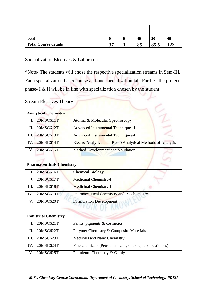| Total                | м | 40 | 20            | 40              |
|----------------------|---|----|---------------|-----------------|
| Total Course details |   | 85 | O E E<br>05.5 | $\mathcal{D}^2$ |

Specialization Electives & Laboratories:

\*Note- The students will chose the respective specialization streams in Sem-III. Each specialization has 5 course and one specialization lab. Further, the project phase- I & II will be in line with specialization chosen by the student.

## Stream Electives Theory

|      | <b>Analytical Chemistry</b>      |                                                             |
|------|----------------------------------|-------------------------------------------------------------|
| I.   | 20MSC611T                        | Atomic & Molecular Spectroscopy                             |
| II.  | 20MSC612T                        | Advanced Instrumental Techniques-I                          |
| III. | 20MSC613T                        | Advanced Instrumental Techniques-II                         |
| IV.  | 20MSC614T                        | Electro Analytical and Radio Analytical Methods of Analysis |
| V.   | 20MSC615T                        | Method Development and Validation                           |
|      |                                  |                                                             |
|      | <b>Pharmaceuticals Chemistry</b> |                                                             |
| I.   | 20MSC616T                        | <b>Chemical Biology</b>                                     |
| Π.   | 20MSC617T                        | Medicinal Chemistry-I                                       |
| III. | 20MSC618T                        | <b>Medicinal Chemistry-II</b>                               |
| IV.  | 20MSC619T                        | <b>Pharmaceutical Chemistry and Biochemistry</b>            |
| V.   | 20MSC620T                        | <b>Formulation Development</b>                              |
|      |                                  |                                                             |
|      | <b>Industrial Chemistry</b>      |                                                             |
| I.   | 20MSC621T                        | Paints, pigments & cosmetics                                |
| II.  | 20MSC622T                        | Polymer Chemistry & Composite Materials                     |
| III. | 20MSC623T                        | Materials and Nano Chemistry                                |
| IV.  | 20MSC624T                        | Fine chemicals (Petrochemicals, oil, soap and pesticides)   |
| V.   | 20MSC625T                        | Petroleum Chemistry & Catalysis                             |
|      |                                  |                                                             |